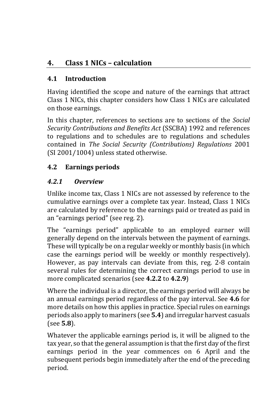# **4. Class 1 NICs – calculation**

### **4.1 Introduction**

Having identified the scope and nature of the earnings that attract Class 1 NICs, this chapter considers how Class 1 NICs are calculated on those earnings.

In this chapter, references to sections are to sections of the *Social Security Contributions and Benefits Act* (SSCBA) 1992 and references to regulations and to schedules are to regulations and schedules contained in *The Social Security (Contributions) Regulations* 2001 (SI 2001/1004) unless stated otherwise.

## **4.2 Earnings periods**

## *4.2.1 Overview*

Unlike income tax, Class 1 NICs are not assessed by reference to the cumulative earnings over a complete tax year. Instead, Class 1 NICs are calculated by reference to the earnings paid or treated as paid in an "earnings period" (see reg. 2).

The "earnings period" applicable to an employed earner will generally depend on the intervals between the payment of earnings. These will typically be on a regular weekly or monthly basis (in which case the earnings period will be weekly or monthly respectively). However, as pay intervals can deviate from this, reg. 2-8 contain several rules for determining the correct earnings period to use in more complicated scenarios (see **4.2.2** to **4.2.9**)

Where the individual is a director, the earnings period will always be an annual earnings period regardless of the pay interval. See **4.6** for more details on how this applies in practice. Special rules on earnings periods also apply to mariners (see **5.4**) and irregular harvest casuals (see **5.8**).

Whatever the applicable earnings period is, it will be aligned to the tax year, so that the general assumption is that the first day of the first earnings period in the year commences on 6 April and the subsequent periods begin immediately after the end of the preceding period.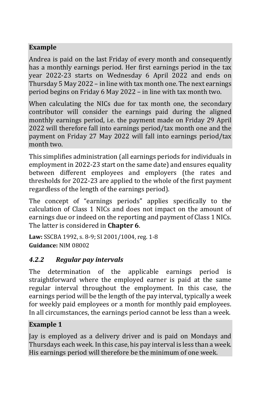## **Example**

Andrea is paid on the last Friday of every month and consequently has a monthly earnings period. Her first earnings period in the tax year 2022-23 starts on Wednesday 6 April 2022 and ends on Thursday 5 May 2022 – in line with tax month one. The next earnings period begins on Friday 6 May 2022 – in line with tax month two.

When calculating the NICs due for tax month one, the secondary contributor will consider the earnings paid during the aligned monthly earnings period, i.e. the payment made on Friday 29 April 2022 will therefore fall into earnings period/tax month one and the payment on Friday 27 May 2022 will fall into earnings period/tax month two.

This simplifies administration (all earnings periods for individuals in employment in 2022-23 start on the same date) and ensures equality between different employees and employers (the rates and thresholds for 2022-23 are applied to the whole of the first payment regardless of the length of the earnings period).

The concept of "earnings periods" applies specifically to the calculation of Class 1 NICs and does not impact on the amount of earnings due or indeed on the reporting and payment of Class 1 NICs. The latter is considered in **Chapter 6**.

**Law:** SSCBA 1992, s. 8-9; SI 2001/1004, reg. 1-8 **Guidance:** NIM 08002

### *4.2.2 Regular pay intervals*

The determination of the applicable earnings period is straightforward where the employed earner is paid at the same regular interval throughout the employment. In this case, the earnings period will be the length of the pay interval, typically a week for weekly paid employees or a month for monthly paid employees. In all circumstances, the earnings period cannot be less than a week.

#### **Example 1**

Jay is employed as a delivery driver and is paid on Mondays and Thursdays each week. In this case, his pay interval is less than a week. His earnings period will therefore be the minimum of one week.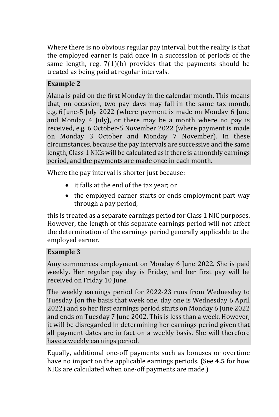Where there is no obvious regular pay interval, but the reality is that the employed earner is paid once in a succession of periods of the same length, reg. 7(1)(b) provides that the payments should be treated as being paid at regular intervals.

#### **Example 2**

Alana is paid on the first Monday in the calendar month. This means that, on occasion, two pay days may fall in the same tax month, e.g. 6 June-5 July 2022 (where payment is made on Monday 6 June and Monday 4 July), or there may be a month where no pay is received, e.g. 6 October-5 November 2022 (where payment is made on Monday 3 October and Monday 7 November). In these circumstances, because the pay intervals are successive and the same length, Class 1 NICs will be calculated as if there is a monthly earnings period, and the payments are made once in each month.

Where the pay interval is shorter just because:

- it falls at the end of the tax year; or
- the employed earner starts or ends employment part way through a pay period,

this is treated as a separate earnings period for Class 1 NIC purposes. However, the length of this separate earnings period will not affect the determination of the earnings period generally applicable to the employed earner.

#### **Example 3**

Amy commences employment on Monday 6 June 2022. She is paid weekly. Her regular pay day is Friday, and her first pay will be received on Friday 10 June.

The weekly earnings period for 2022-23 runs from Wednesday to Tuesday (on the basis that week one, day one is Wednesday 6 April 2022) and so her first earnings period starts on Monday 6 June 2022 and ends on Tuesday 7 June 2002. This is less than a week. However, it will be disregarded in determining her earnings period given that all payment dates are in fact on a weekly basis. She will therefore have a weekly earnings period.

Equally, additional one-off payments such as bonuses or overtime have no impact on the applicable earnings periods. (See **4.5** for how NICs are calculated when one-off payments are made.)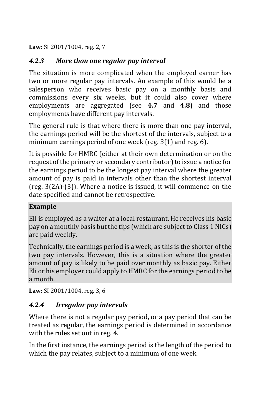**Law:** SI 2001/1004, reg. 2, 7

### *4.2.3 More than one regular pay interval*

The situation is more complicated when the employed earner has two or more regular pay intervals. An example of this would be a salesperson who receives basic pay on a monthly basis and commissions every six weeks, but it could also cover where employments are aggregated (see **4.7** and **4.8**) and those employments have different pay intervals.

The general rule is that where there is more than one pay interval, the earnings period will be the shortest of the intervals, subject to a minimum earnings period of one week (reg. 3(1) and reg. 6).

It is possible for HMRC (either at their own determination or on the request of the primary or secondary contributor) to issue a notice for the earnings period to be the longest pay interval where the greater amount of pay is paid in intervals other than the shortest interval (reg. 3(2A)-(3)). Where a notice is issued, it will commence on the date specified and cannot be retrospective.

#### **Example**

Eli is employed as a waiter at a local restaurant. He receives his basic pay on a monthly basis but the tips (which are subject to Class 1 NICs) are paid weekly.

Technically, the earnings period is a week, as this is the shorter of the two pay intervals. However, this is a situation where the greater amount of pay is likely to be paid over monthly as basic pay. Either Eli or his employer could apply to HMRC for the earnings period to be a month.

**Law:** SI 2001/1004, reg. 3, 6

### *4.2.4 Irregular pay intervals*

Where there is not a regular pay period, or a pay period that can be treated as regular, the earnings period is determined in accordance with the rules set out in reg. 4.

In the first instance, the earnings period is the length of the period to which the pay relates, subject to a minimum of one week.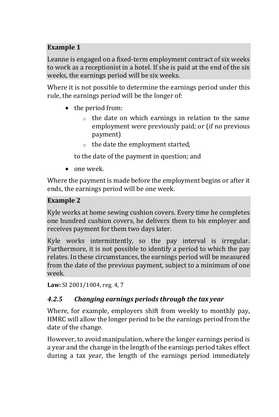### **Example 1**

Leanne is engaged on a fixed-term employment contract of six weeks to work as a receptionist in a hotel. If she is paid at the end of the six weeks, the earnings period will be six weeks.

Where it is not possible to determine the earnings period under this rule, the earnings period will be the longer of:

- the period from:
	- o the date on which earnings in relation to the same employment were previously paid; or (if no previous payment)
	- o the date the employment started,

to the date of the payment in question; and

• one week.

Where the payment is made before the employment begins or after it ends, the earnings period will be one week.

### **Example 2**

Kyle works at home sewing cushion covers. Every time he completes one hundred cushion covers, he delivers them to his employer and receives payment for them two days later.

Kyle works intermittently, so the pay interval is irregular. Furthermore, it is not possible to identify a period to which the pay relates. In these circumstances, the earnings period will be measured from the date of the previous payment, subject to a minimum of one week.

**Law:** SI 2001/1004, reg. 4, 7

## *4.2.5 Changing earnings periods through the tax year*

Where, for example, employers shift from weekly to monthly pay, HMRC will allow the longer period to be the earnings period from the date of the change.

However, to avoid manipulation, where the longer earnings period is a year and the change in the length of the earnings period takes effect during a tax year, the length of the earnings period immediately